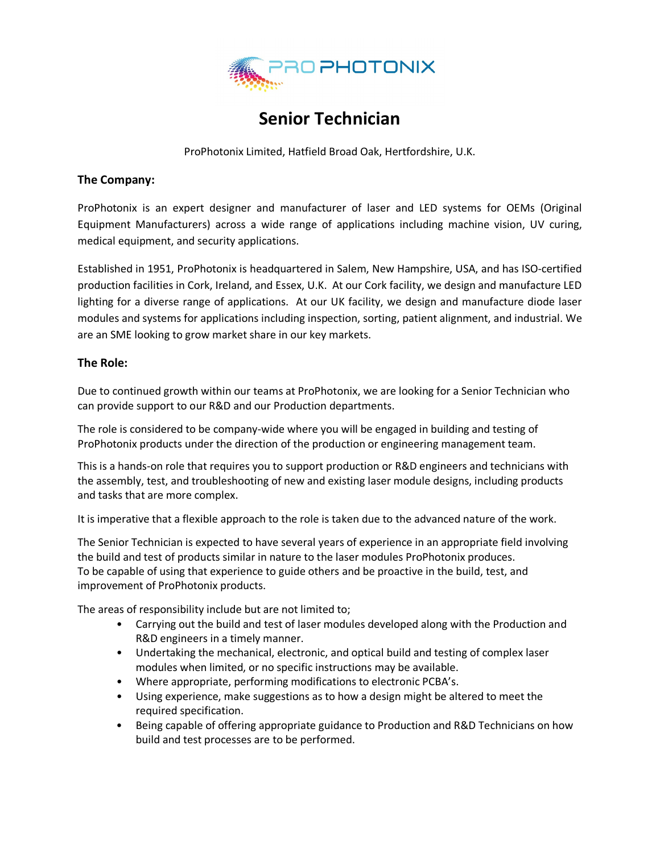

## **Senior Technician**

ProPhotonix Limited, Hatfield Broad Oak, Hertfordshire, U.K.

## **The Company:**

ProPhotonix is an expert designer and manufacturer of laser and LED systems for OEMs (Original Equipment Manufacturers) across a wide range of applications including machine vision, UV curing, medical equipment, and security applications.

Established in 1951, ProPhotonix is headquartered in Salem, New Hampshire, USA, and has ISO-certified production facilities in Cork, Ireland, and Essex, U.K. At our Cork facility, we design and manufacture LED lighting for a diverse range of applications. At our UK facility, we design and manufacture diode laser modules and systems for applications including inspection, sorting, patient alignment, and industrial. We are an SME looking to grow market share in our key markets.

## **The Role:**

Due to continued growth within our teams at ProPhotonix, we are looking for a Senior Technician who can provide support to our R&D and our Production departments.

The role is considered to be company-wide where you will be engaged in building and testing of ProPhotonix products under the direction of the production or engineering management team.

This is a hands-on role that requires you to support production or R&D engineers and technicians with the assembly, test, and troubleshooting of new and existing laser module designs, including products and tasks that are more complex.

It is imperative that a flexible approach to the role is taken due to the advanced nature of the work.

The Senior Technician is expected to have several years of experience in an appropriate field involving the build and test of products similar in nature to the laser modules ProPhotonix produces. To be capable of using that experience to guide others and be proactive in the build, test, and improvement of ProPhotonix products.

The areas of responsibility include but are not limited to;

- Carrying out the build and test of laser modules developed along with the Production and R&D engineers in a timely manner.
- Undertaking the mechanical, electronic, and optical build and testing of complex laser modules when limited, or no specific instructions may be available.
- Where appropriate, performing modifications to electronic PCBA's.
- Using experience, make suggestions as to how a design might be altered to meet the required specification.
- Being capable of offering appropriate guidance to Production and R&D Technicians on how build and test processes are to be performed.